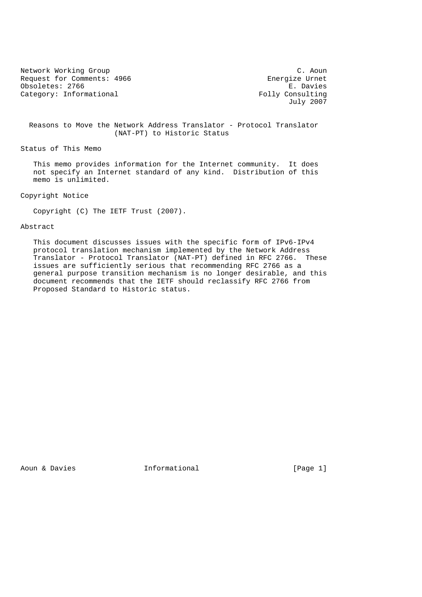Network Working Group C. Aoun C. Aoun C. Aoun C. Aoun C. Aoun C. Aoun C. Aoun C. Aoun C. Aoun C. Aoun C. Aoun Request for Comments: 4966 Energize Urnet<br>
Obsoletes: 2766 E. Davies Obsoletes: 2766 Category: Informational  $Folly$  Consulting

July 2007

 Reasons to Move the Network Address Translator - Protocol Translator (NAT-PT) to Historic Status

Status of This Memo

 This memo provides information for the Internet community. It does not specify an Internet standard of any kind. Distribution of this memo is unlimited.

Copyright Notice

Copyright (C) The IETF Trust (2007).

### Abstract

 This document discusses issues with the specific form of IPv6-IPv4 protocol translation mechanism implemented by the Network Address Translator - Protocol Translator (NAT-PT) defined in RFC 2766. These issues are sufficiently serious that recommending RFC 2766 as a general purpose transition mechanism is no longer desirable, and this document recommends that the IETF should reclassify RFC 2766 from Proposed Standard to Historic status.

Aoun & Davies **Informational Conserverse Exercise** [Page 1]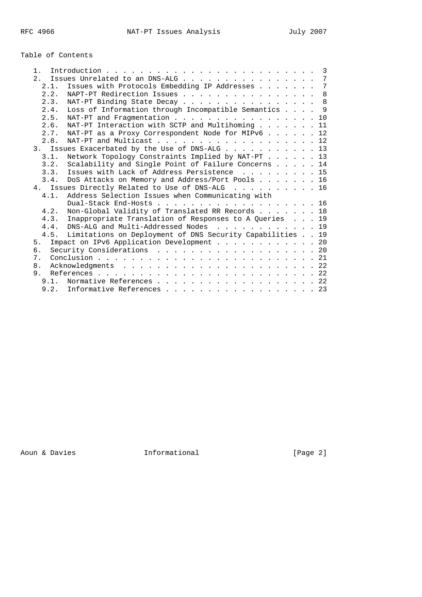# Table of Contents

| 1 <sub>1</sub> |                                                      | $\overline{3}$                                                                                                                                                                                                                                                                                                                                                                                                                                                                                                                                                                                                                                                                             |
|----------------|------------------------------------------------------|--------------------------------------------------------------------------------------------------------------------------------------------------------------------------------------------------------------------------------------------------------------------------------------------------------------------------------------------------------------------------------------------------------------------------------------------------------------------------------------------------------------------------------------------------------------------------------------------------------------------------------------------------------------------------------------------|
|                |                                                      |                                                                                                                                                                                                                                                                                                                                                                                                                                                                                                                                                                                                                                                                                            |
|                |                                                      | 7                                                                                                                                                                                                                                                                                                                                                                                                                                                                                                                                                                                                                                                                                          |
|                |                                                      | 8                                                                                                                                                                                                                                                                                                                                                                                                                                                                                                                                                                                                                                                                                          |
|                | NAT-PT Binding State Decay 8                         |                                                                                                                                                                                                                                                                                                                                                                                                                                                                                                                                                                                                                                                                                            |
|                | Loss of Information through Incompatible Semantics 9 |                                                                                                                                                                                                                                                                                                                                                                                                                                                                                                                                                                                                                                                                                            |
|                | NAT-PT and Fragmentation 10                          |                                                                                                                                                                                                                                                                                                                                                                                                                                                                                                                                                                                                                                                                                            |
|                | NAT-PT Interaction with SCTP and Multihoming 11      |                                                                                                                                                                                                                                                                                                                                                                                                                                                                                                                                                                                                                                                                                            |
|                | NAT-PT as a Proxy Correspondent Node for MIPv6 12    |                                                                                                                                                                                                                                                                                                                                                                                                                                                                                                                                                                                                                                                                                            |
| 2.8.           | NAT-PT and Multicast 12                              |                                                                                                                                                                                                                                                                                                                                                                                                                                                                                                                                                                                                                                                                                            |
|                |                                                      |                                                                                                                                                                                                                                                                                                                                                                                                                                                                                                                                                                                                                                                                                            |
| 3.1.           | Network Topology Constraints Implied by NAT-PT 13    |                                                                                                                                                                                                                                                                                                                                                                                                                                                                                                                                                                                                                                                                                            |
|                | Scalability and Single Point of Failure Concerns 14  |                                                                                                                                                                                                                                                                                                                                                                                                                                                                                                                                                                                                                                                                                            |
|                | Issues with Lack of Address Persistence 15           |                                                                                                                                                                                                                                                                                                                                                                                                                                                                                                                                                                                                                                                                                            |
| 3.4.           | DoS Attacks on Memory and Address/Port Pools 16      |                                                                                                                                                                                                                                                                                                                                                                                                                                                                                                                                                                                                                                                                                            |
|                |                                                      |                                                                                                                                                                                                                                                                                                                                                                                                                                                                                                                                                                                                                                                                                            |
| 4.1            | Address Selection Issues when Communicating with     |                                                                                                                                                                                                                                                                                                                                                                                                                                                                                                                                                                                                                                                                                            |
|                | Dual-Stack End-Hosts 16                              |                                                                                                                                                                                                                                                                                                                                                                                                                                                                                                                                                                                                                                                                                            |
|                |                                                      |                                                                                                                                                                                                                                                                                                                                                                                                                                                                                                                                                                                                                                                                                            |
|                |                                                      |                                                                                                                                                                                                                                                                                                                                                                                                                                                                                                                                                                                                                                                                                            |
|                |                                                      |                                                                                                                                                                                                                                                                                                                                                                                                                                                                                                                                                                                                                                                                                            |
|                |                                                      |                                                                                                                                                                                                                                                                                                                                                                                                                                                                                                                                                                                                                                                                                            |
| 5.             |                                                      |                                                                                                                                                                                                                                                                                                                                                                                                                                                                                                                                                                                                                                                                                            |
| б.             |                                                      |                                                                                                                                                                                                                                                                                                                                                                                                                                                                                                                                                                                                                                                                                            |
| 7.             |                                                      |                                                                                                                                                                                                                                                                                                                                                                                                                                                                                                                                                                                                                                                                                            |
| 8.             |                                                      |                                                                                                                                                                                                                                                                                                                                                                                                                                                                                                                                                                                                                                                                                            |
| 9.             |                                                      |                                                                                                                                                                                                                                                                                                                                                                                                                                                                                                                                                                                                                                                                                            |
|                |                                                      |                                                                                                                                                                                                                                                                                                                                                                                                                                                                                                                                                                                                                                                                                            |
|                |                                                      |                                                                                                                                                                                                                                                                                                                                                                                                                                                                                                                                                                                                                                                                                            |
|                |                                                      | 2. Issues Unrelated to an DNS-ALG 7<br>Issues with Protocols Embedding IP Addresses<br>2.1.<br>NAPT-PT Redirection Issues<br>2.2.<br>2.3.<br>2.4.<br>2.5.<br>2.6.<br>2.7.<br>3. Issues Exacerbated by the Use of DNS-ALG 13<br>3.2.<br>3.3.<br>4. Issues Directly Related to Use of DNS-ALG 16<br>Non-Global Validity of Translated RR Records 18<br>4.2.<br>4.3. Inappropriate Translation of Responses to A Queries 19<br>DNS-ALG and Multi-Addressed Nodes 19<br>4.4.<br>Limitations on Deployment of DNS Security Capabilities 19<br>4.5.<br>Impact on IPv6 Application Development 20<br>Security Considerations 20<br>9.1. Normative References 22<br>9.2. Informative References 23 |

Aoun & Davies Informational [Page 2]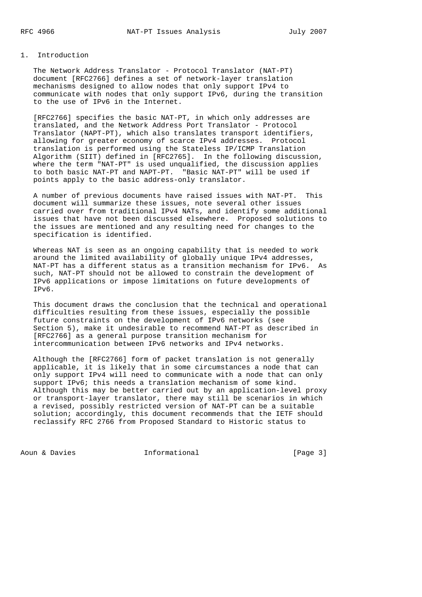## 1. Introduction

 The Network Address Translator - Protocol Translator (NAT-PT) document [RFC2766] defines a set of network-layer translation mechanisms designed to allow nodes that only support IPv4 to communicate with nodes that only support IPv6, during the transition to the use of IPv6 in the Internet.

 [RFC2766] specifies the basic NAT-PT, in which only addresses are translated, and the Network Address Port Translator - Protocol Translator (NAPT-PT), which also translates transport identifiers, allowing for greater economy of scarce IPv4 addresses. Protocol translation is performed using the Stateless IP/ICMP Translation Algorithm (SIIT) defined in [RFC2765]. In the following discussion, where the term "NAT-PT" is used unqualified, the discussion applies to both basic NAT-PT and NAPT-PT. "Basic NAT-PT" will be used if points apply to the basic address-only translator.

 A number of previous documents have raised issues with NAT-PT. This document will summarize these issues, note several other issues carried over from traditional IPv4 NATs, and identify some additional issues that have not been discussed elsewhere. Proposed solutions to the issues are mentioned and any resulting need for changes to the specification is identified.

 Whereas NAT is seen as an ongoing capability that is needed to work around the limited availability of globally unique IPv4 addresses, NAT-PT has a different status as a transition mechanism for IPv6. As such, NAT-PT should not be allowed to constrain the development of IPv6 applications or impose limitations on future developments of IPv6.

 This document draws the conclusion that the technical and operational difficulties resulting from these issues, especially the possible future constraints on the development of IPv6 networks (see Section 5), make it undesirable to recommend NAT-PT as described in [RFC2766] as a general purpose transition mechanism for intercommunication between IPv6 networks and IPv4 networks.

 Although the [RFC2766] form of packet translation is not generally applicable, it is likely that in some circumstances a node that can only support IPv4 will need to communicate with a node that can only support IPv6; this needs a translation mechanism of some kind. Although this may be better carried out by an application-level proxy or transport-layer translator, there may still be scenarios in which a revised, possibly restricted version of NAT-PT can be a suitable solution; accordingly, this document recommends that the IETF should reclassify RFC 2766 from Proposed Standard to Historic status to

Aoun & Davies **Informational** [Page 3]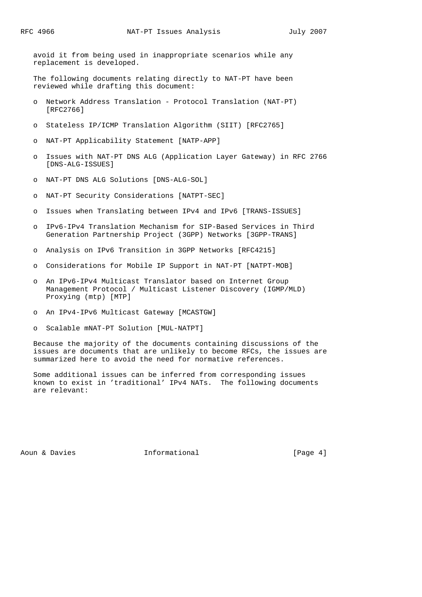avoid it from being used in inappropriate scenarios while any replacement is developed.

 The following documents relating directly to NAT-PT have been reviewed while drafting this document:

- o Network Address Translation Protocol Translation (NAT-PT) [RFC2766]
- o Stateless IP/ICMP Translation Algorithm (SIIT) [RFC2765]
- o NAT-PT Applicability Statement [NATP-APP]
- o Issues with NAT-PT DNS ALG (Application Layer Gateway) in RFC 2766 [DNS-ALG-ISSUES]
- o NAT-PT DNS ALG Solutions [DNS-ALG-SOL]
- o NAT-PT Security Considerations [NATPT-SEC]
- o Issues when Translating between IPv4 and IPv6 [TRANS-ISSUES]
- o IPv6-IPv4 Translation Mechanism for SIP-Based Services in Third Generation Partnership Project (3GPP) Networks [3GPP-TRANS]
- o Analysis on IPv6 Transition in 3GPP Networks [RFC4215]
- o Considerations for Mobile IP Support in NAT-PT [NATPT-MOB]
- o An IPv6-IPv4 Multicast Translator based on Internet Group Management Protocol / Multicast Listener Discovery (IGMP/MLD) Proxying (mtp) [MTP]
- o An IPv4-IPv6 Multicast Gateway [MCASTGW]
- o Scalable mNAT-PT Solution [MUL-NATPT]

 Because the majority of the documents containing discussions of the issues are documents that are unlikely to become RFCs, the issues are summarized here to avoid the need for normative references.

 Some additional issues can be inferred from corresponding issues known to exist in 'traditional' IPv4 NATs. The following documents are relevant:

Aoun & Davies **Informational Constructional** [Page 4]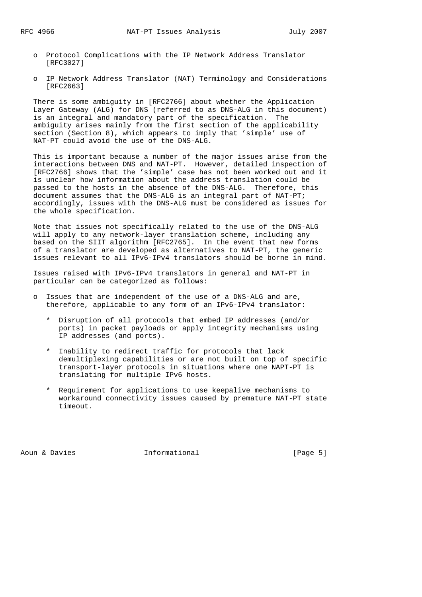- o Protocol Complications with the IP Network Address Translator [RFC3027]
- o IP Network Address Translator (NAT) Terminology and Considerations [RFC2663]

 There is some ambiguity in [RFC2766] about whether the Application Layer Gateway (ALG) for DNS (referred to as DNS-ALG in this document) is an integral and mandatory part of the specification. The ambiguity arises mainly from the first section of the applicability section (Section 8), which appears to imply that 'simple' use of NAT-PT could avoid the use of the DNS-ALG.

 This is important because a number of the major issues arise from the interactions between DNS and NAT-PT. However, detailed inspection of [RFC2766] shows that the 'simple' case has not been worked out and it is unclear how information about the address translation could be passed to the hosts in the absence of the DNS-ALG. Therefore, this document assumes that the DNS-ALG is an integral part of NAT-PT; accordingly, issues with the DNS-ALG must be considered as issues for the whole specification.

 Note that issues not specifically related to the use of the DNS-ALG will apply to any network-layer translation scheme, including any based on the SIIT algorithm [RFC2765]. In the event that new forms of a translator are developed as alternatives to NAT-PT, the generic issues relevant to all IPv6-IPv4 translators should be borne in mind.

 Issues raised with IPv6-IPv4 translators in general and NAT-PT in particular can be categorized as follows:

- o Issues that are independent of the use of a DNS-ALG and are, therefore, applicable to any form of an IPv6-IPv4 translator:
	- \* Disruption of all protocols that embed IP addresses (and/or ports) in packet payloads or apply integrity mechanisms using IP addresses (and ports).
	- \* Inability to redirect traffic for protocols that lack demultiplexing capabilities or are not built on top of specific transport-layer protocols in situations where one NAPT-PT is translating for multiple IPv6 hosts.
	- \* Requirement for applications to use keepalive mechanisms to workaround connectivity issues caused by premature NAT-PT state timeout.

Aoun & Davies **Informational** (Page 5)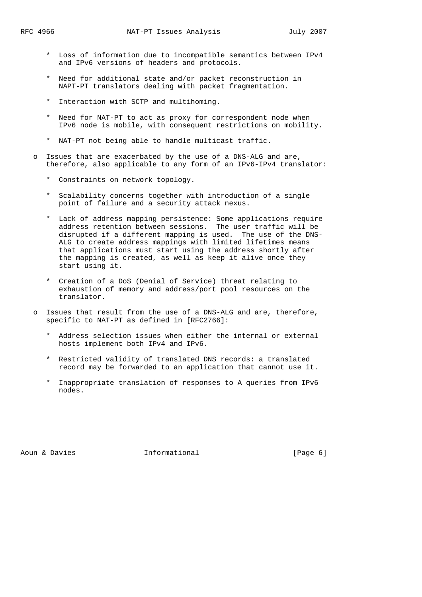- \* Loss of information due to incompatible semantics between IPv4 and IPv6 versions of headers and protocols.
- \* Need for additional state and/or packet reconstruction in NAPT-PT translators dealing with packet fragmentation.
- \* Interaction with SCTP and multihoming.
- \* Need for NAT-PT to act as proxy for correspondent node when IPv6 node is mobile, with consequent restrictions on mobility.
- \* NAT-PT not being able to handle multicast traffic.
- Issues that are exacerbated by the use of a DNS-ALG and are, therefore, also applicable to any form of an IPv6-IPv4 translator:
	- \* Constraints on network topology.
	- \* Scalability concerns together with introduction of a single point of failure and a security attack nexus.
- \* Lack of address mapping persistence: Some applications require address retention between sessions. The user traffic will be disrupted if a different mapping is used. The use of the DNS- ALG to create address mappings with limited lifetimes means that applications must start using the address shortly after the mapping is created, as well as keep it alive once they start using it.
	- \* Creation of a DoS (Denial of Service) threat relating to exhaustion of memory and address/port pool resources on the translator.
	- o Issues that result from the use of a DNS-ALG and are, therefore, specific to NAT-PT as defined in [RFC2766]:
		- \* Address selection issues when either the internal or external hosts implement both IPv4 and IPv6.
		- \* Restricted validity of translated DNS records: a translated record may be forwarded to an application that cannot use it.
		- \* Inappropriate translation of responses to A queries from IPv6 nodes.

Aoun & Davies **Informational** (Page 6)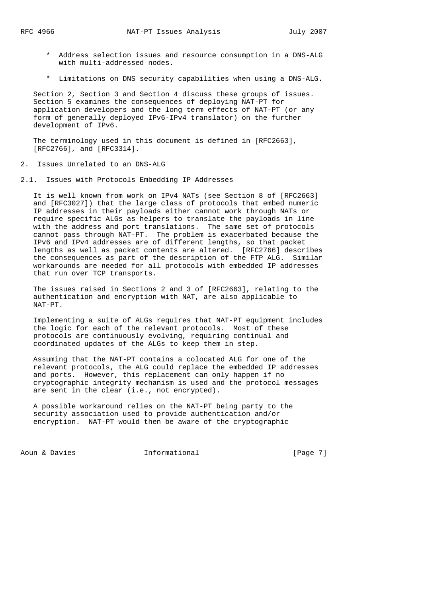- \* Address selection issues and resource consumption in a DNS-ALG with multi-addressed nodes.
- \* Limitations on DNS security capabilities when using a DNS-ALG.

 Section 2, Section 3 and Section 4 discuss these groups of issues. Section 5 examines the consequences of deploying NAT-PT for application developers and the long term effects of NAT-PT (or any form of generally deployed IPv6-IPv4 translator) on the further development of IPv6.

 The terminology used in this document is defined in [RFC2663], [RFC2766], and [RFC3314].

- 2. Issues Unrelated to an DNS-ALG
- 2.1. Issues with Protocols Embedding IP Addresses

 It is well known from work on IPv4 NATs (see Section 8 of [RFC2663] and [RFC3027]) that the large class of protocols that embed numeric IP addresses in their payloads either cannot work through NATs or require specific ALGs as helpers to translate the payloads in line with the address and port translations. The same set of protocols cannot pass through NAT-PT. The problem is exacerbated because the IPv6 and IPv4 addresses are of different lengths, so that packet lengths as well as packet contents are altered. [RFC2766] describes the consequences as part of the description of the FTP ALG. Similar workarounds are needed for all protocols with embedded IP addresses that run over TCP transports.

 The issues raised in Sections 2 and 3 of [RFC2663], relating to the authentication and encryption with NAT, are also applicable to NAT-PT.

 Implementing a suite of ALGs requires that NAT-PT equipment includes the logic for each of the relevant protocols. Most of these protocols are continuously evolving, requiring continual and coordinated updates of the ALGs to keep them in step.

 Assuming that the NAT-PT contains a colocated ALG for one of the relevant protocols, the ALG could replace the embedded IP addresses and ports. However, this replacement can only happen if no cryptographic integrity mechanism is used and the protocol messages are sent in the clear (i.e., not encrypted).

 A possible workaround relies on the NAT-PT being party to the security association used to provide authentication and/or encryption. NAT-PT would then be aware of the cryptographic

Aoun & Davies **Informational Constanting Exercise** [Page 7]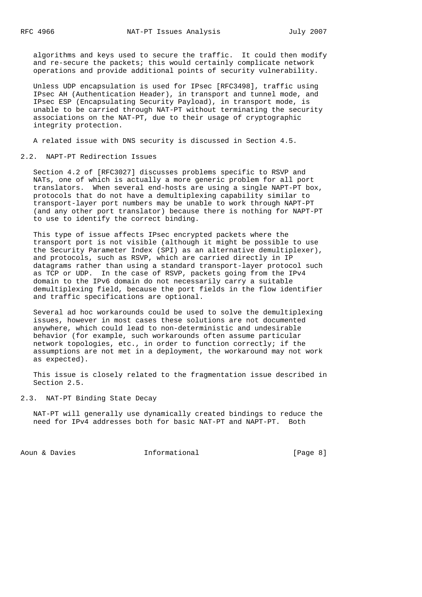algorithms and keys used to secure the traffic. It could then modify and re-secure the packets; this would certainly complicate network operations and provide additional points of security vulnerability.

 Unless UDP encapsulation is used for IPsec [RFC3498], traffic using IPsec AH (Authentication Header), in transport and tunnel mode, and IPsec ESP (Encapsulating Security Payload), in transport mode, is unable to be carried through NAT-PT without terminating the security associations on the NAT-PT, due to their usage of cryptographic integrity protection.

A related issue with DNS security is discussed in Section 4.5.

#### 2.2. NAPT-PT Redirection Issues

 Section 4.2 of [RFC3027] discusses problems specific to RSVP and NATs, one of which is actually a more generic problem for all port translators. When several end-hosts are using a single NAPT-PT box, protocols that do not have a demultiplexing capability similar to transport-layer port numbers may be unable to work through NAPT-PT (and any other port translator) because there is nothing for NAPT-PT to use to identify the correct binding.

 This type of issue affects IPsec encrypted packets where the transport port is not visible (although it might be possible to use the Security Parameter Index (SPI) as an alternative demultiplexer), and protocols, such as RSVP, which are carried directly in IP datagrams rather than using a standard transport-layer protocol such as TCP or UDP. In the case of RSVP, packets going from the IPv4 domain to the IPv6 domain do not necessarily carry a suitable demultiplexing field, because the port fields in the flow identifier and traffic specifications are optional.

 Several ad hoc workarounds could be used to solve the demultiplexing issues, however in most cases these solutions are not documented anywhere, which could lead to non-deterministic and undesirable behavior (for example, such workarounds often assume particular network topologies, etc., in order to function correctly; if the assumptions are not met in a deployment, the workaround may not work as expected).

 This issue is closely related to the fragmentation issue described in Section 2.5.

## 2.3. NAT-PT Binding State Decay

 NAT-PT will generally use dynamically created bindings to reduce the need for IPv4 addresses both for basic NAT-PT and NAPT-PT. Both

Aoun & Davies **Informational** (Page 8)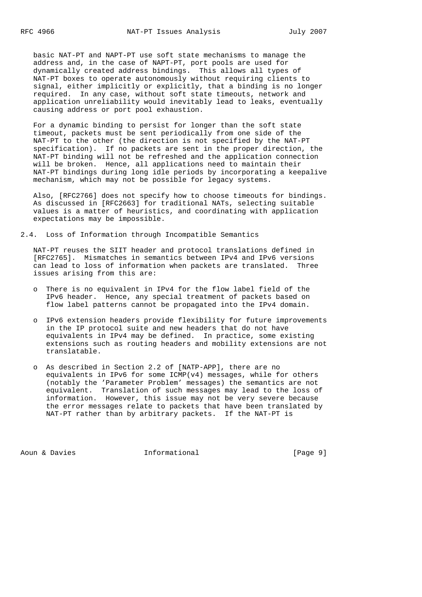basic NAT-PT and NAPT-PT use soft state mechanisms to manage the address and, in the case of NAPT-PT, port pools are used for dynamically created address bindings. This allows all types of NAT-PT boxes to operate autonomously without requiring clients to signal, either implicitly or explicitly, that a binding is no longer required. In any case, without soft state timeouts, network and application unreliability would inevitably lead to leaks, eventually causing address or port pool exhaustion.

 For a dynamic binding to persist for longer than the soft state timeout, packets must be sent periodically from one side of the NAT-PT to the other (the direction is not specified by the NAT-PT specification). If no packets are sent in the proper direction, the NAT-PT binding will not be refreshed and the application connection will be broken. Hence, all applications need to maintain their NAT-PT bindings during long idle periods by incorporating a keepalive mechanism, which may not be possible for legacy systems.

 Also, [RFC2766] does not specify how to choose timeouts for bindings. As discussed in [RFC2663] for traditional NATs, selecting suitable values is a matter of heuristics, and coordinating with application expectations may be impossible.

2.4. Loss of Information through Incompatible Semantics

 NAT-PT reuses the SIIT header and protocol translations defined in [RFC2765]. Mismatches in semantics between IPv4 and IPv6 versions can lead to loss of information when packets are translated. Three issues arising from this are:

- o There is no equivalent in IPv4 for the flow label field of the IPv6 header. Hence, any special treatment of packets based on flow label patterns cannot be propagated into the IPv4 domain.
- o IPv6 extension headers provide flexibility for future improvements in the IP protocol suite and new headers that do not have equivalents in IPv4 may be defined. In practice, some existing extensions such as routing headers and mobility extensions are not translatable.
- o As described in Section 2.2 of [NATP-APP], there are no equivalents in IPv6 for some ICMP(v4) messages, while for others (notably the 'Parameter Problem' messages) the semantics are not equivalent. Translation of such messages may lead to the loss of information. However, this issue may not be very severe because the error messages relate to packets that have been translated by NAT-PT rather than by arbitrary packets. If the NAT-PT is

Aoun & Davies **Informational** (Page 9)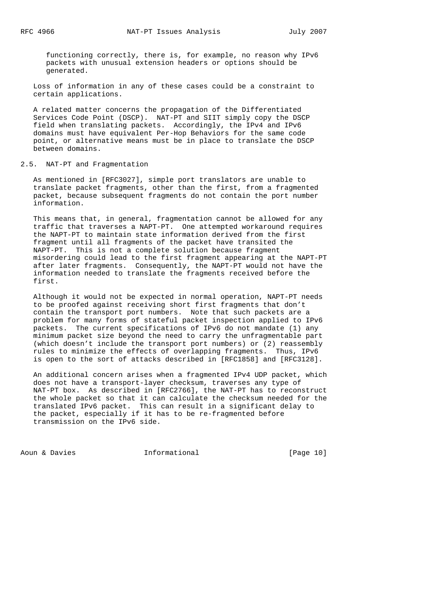functioning correctly, there is, for example, no reason why IPv6 packets with unusual extension headers or options should be generated.

 Loss of information in any of these cases could be a constraint to certain applications.

 A related matter concerns the propagation of the Differentiated Services Code Point (DSCP). NAT-PT and SIIT simply copy the DSCP field when translating packets. Accordingly, the IPv4 and IPv6 domains must have equivalent Per-Hop Behaviors for the same code point, or alternative means must be in place to translate the DSCP between domains.

### 2.5. NAT-PT and Fragmentation

 As mentioned in [RFC3027], simple port translators are unable to translate packet fragments, other than the first, from a fragmented packet, because subsequent fragments do not contain the port number information.

 This means that, in general, fragmentation cannot be allowed for any traffic that traverses a NAPT-PT. One attempted workaround requires the NAPT-PT to maintain state information derived from the first fragment until all fragments of the packet have transited the NAPT-PT. This is not a complete solution because fragment misordering could lead to the first fragment appearing at the NAPT-PT after later fragments. Consequently, the NAPT-PT would not have the information needed to translate the fragments received before the first.

 Although it would not be expected in normal operation, NAPT-PT needs to be proofed against receiving short first fragments that don't contain the transport port numbers. Note that such packets are a problem for many forms of stateful packet inspection applied to IPv6 packets. The current specifications of IPv6 do not mandate (1) any minimum packet size beyond the need to carry the unfragmentable part (which doesn't include the transport port numbers) or (2) reassembly rules to minimize the effects of overlapping fragments. Thus, IPv6 is open to the sort of attacks described in [RFC1858] and [RFC3128].

 An additional concern arises when a fragmented IPv4 UDP packet, which does not have a transport-layer checksum, traverses any type of NAT-PT box. As described in [RFC2766], the NAT-PT has to reconstruct the whole packet so that it can calculate the checksum needed for the translated IPv6 packet. This can result in a significant delay to the packet, especially if it has to be re-fragmented before transmission on the IPv6 side.

Aoun & Davies **Informational** [Page 10]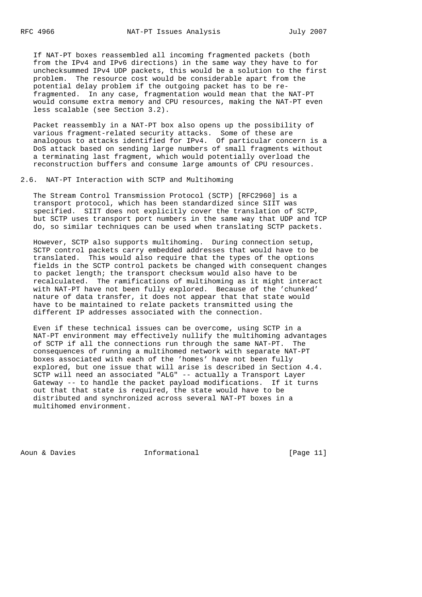If NAT-PT boxes reassembled all incoming fragmented packets (both from the IPv4 and IPv6 directions) in the same way they have to for unchecksummed IPv4 UDP packets, this would be a solution to the first problem. The resource cost would be considerable apart from the potential delay problem if the outgoing packet has to be re fragmented. In any case, fragmentation would mean that the NAT-PT would consume extra memory and CPU resources, making the NAT-PT even less scalable (see Section 3.2).

 Packet reassembly in a NAT-PT box also opens up the possibility of various fragment-related security attacks. Some of these are analogous to attacks identified for IPv4. Of particular concern is a DoS attack based on sending large numbers of small fragments without a terminating last fragment, which would potentially overload the reconstruction buffers and consume large amounts of CPU resources.

#### 2.6. NAT-PT Interaction with SCTP and Multihoming

 The Stream Control Transmission Protocol (SCTP) [RFC2960] is a transport protocol, which has been standardized since SIIT was specified. SIIT does not explicitly cover the translation of SCTP, but SCTP uses transport port numbers in the same way that UDP and TCP do, so similar techniques can be used when translating SCTP packets.

 However, SCTP also supports multihoming. During connection setup, SCTP control packets carry embedded addresses that would have to be translated. This would also require that the types of the options fields in the SCTP control packets be changed with consequent changes to packet length; the transport checksum would also have to be recalculated. The ramifications of multihoming as it might interact with NAT-PT have not been fully explored. Because of the 'chunked' nature of data transfer, it does not appear that that state would have to be maintained to relate packets transmitted using the different IP addresses associated with the connection.

 Even if these technical issues can be overcome, using SCTP in a NAT-PT environment may effectively nullify the multihoming advantages of SCTP if all the connections run through the same NAT-PT. The consequences of running a multihomed network with separate NAT-PT boxes associated with each of the 'homes' have not been fully explored, but one issue that will arise is described in Section 4.4. SCTP will need an associated "ALG" -- actually a Transport Layer Gateway -- to handle the packet payload modifications. If it turns out that that state is required, the state would have to be distributed and synchronized across several NAT-PT boxes in a multihomed environment.

Aoun & Davies **Informational** [Page 11]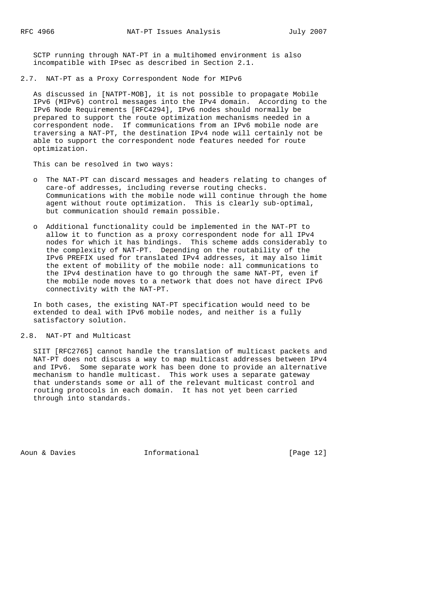SCTP running through NAT-PT in a multihomed environment is also incompatible with IPsec as described in Section 2.1.

2.7. NAT-PT as a Proxy Correspondent Node for MIPv6

 As discussed in [NATPT-MOB], it is not possible to propagate Mobile IPv6 (MIPv6) control messages into the IPv4 domain. According to the IPv6 Node Requirements [RFC4294], IPv6 nodes should normally be prepared to support the route optimization mechanisms needed in a correspondent node. If communications from an IPv6 mobile node are traversing a NAT-PT, the destination IPv4 node will certainly not be able to support the correspondent node features needed for route optimization.

This can be resolved in two ways:

- o The NAT-PT can discard messages and headers relating to changes of care-of addresses, including reverse routing checks. Communications with the mobile node will continue through the home agent without route optimization. This is clearly sub-optimal, but communication should remain possible.
- o Additional functionality could be implemented in the NAT-PT to allow it to function as a proxy correspondent node for all IPv4 nodes for which it has bindings. This scheme adds considerably to the complexity of NAT-PT. Depending on the routability of the IPv6 PREFIX used for translated IPv4 addresses, it may also limit the extent of mobility of the mobile node: all communications to the IPv4 destination have to go through the same NAT-PT, even if the mobile node moves to a network that does not have direct IPv6 connectivity with the NAT-PT.

 In both cases, the existing NAT-PT specification would need to be extended to deal with IPv6 mobile nodes, and neither is a fully satisfactory solution.

#### 2.8. NAT-PT and Multicast

 SIIT [RFC2765] cannot handle the translation of multicast packets and NAT-PT does not discuss a way to map multicast addresses between IPv4 and IPv6. Some separate work has been done to provide an alternative mechanism to handle multicast. This work uses a separate gateway that understands some or all of the relevant multicast control and routing protocols in each domain. It has not yet been carried through into standards.

Aoun & Davies **Informational** [Page 12]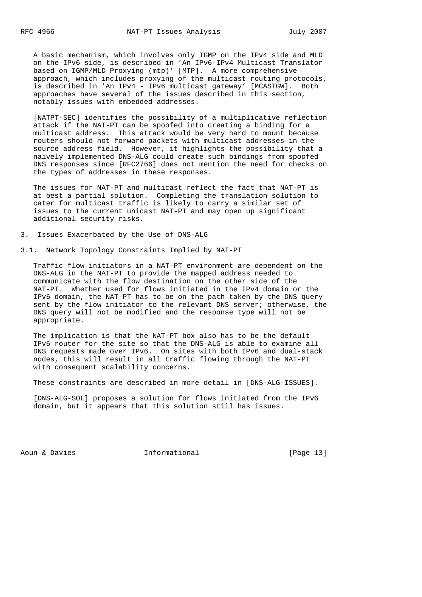A basic mechanism, which involves only IGMP on the IPv4 side and MLD on the IPv6 side, is described in 'An IPv6-IPv4 Multicast Translator based on IGMP/MLD Proxying (mtp)' [MTP]. A more comprehensive approach, which includes proxying of the multicast routing protocols, is described in 'An IPv4 - IPv6 multicast gateway' [MCASTGW]. Both approaches have several of the issues described in this section, notably issues with embedded addresses.

 [NATPT-SEC] identifies the possibility of a multiplicative reflection attack if the NAT-PT can be spoofed into creating a binding for a multicast address. This attack would be very hard to mount because routers should not forward packets with multicast addresses in the source address field. However, it highlights the possibility that a naively implemented DNS-ALG could create such bindings from spoofed DNS responses since [RFC2766] does not mention the need for checks on the types of addresses in these responses.

 The issues for NAT-PT and multicast reflect the fact that NAT-PT is at best a partial solution. Completing the translation solution to cater for multicast traffic is likely to carry a similar set of issues to the current unicast NAT-PT and may open up significant additional security risks.

3. Issues Exacerbated by the Use of DNS-ALG

3.1. Network Topology Constraints Implied by NAT-PT

 Traffic flow initiators in a NAT-PT environment are dependent on the DNS-ALG in the NAT-PT to provide the mapped address needed to communicate with the flow destination on the other side of the NAT-PT. Whether used for flows initiated in the IPv4 domain or the IPv6 domain, the NAT-PT has to be on the path taken by the DNS query sent by the flow initiator to the relevant DNS server; otherwise, the DNS query will not be modified and the response type will not be appropriate.

 The implication is that the NAT-PT box also has to be the default IPv6 router for the site so that the DNS-ALG is able to examine all DNS requests made over IPv6. On sites with both IPv6 and dual-stack nodes, this will result in all traffic flowing through the NAT-PT with consequent scalability concerns.

These constraints are described in more detail in [DNS-ALG-ISSUES].

 [DNS-ALG-SOL] proposes a solution for flows initiated from the IPv6 domain, but it appears that this solution still has issues.

Aoun & Davies **Informational** [Page 13]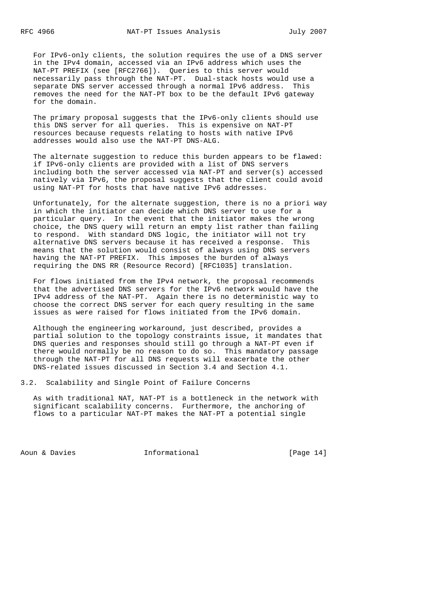For IPv6-only clients, the solution requires the use of a DNS server in the IPv4 domain, accessed via an IPv6 address which uses the NAT-PT PREFIX (see [RFC2766]). Queries to this server would necessarily pass through the NAT-PT. Dual-stack hosts would use a separate DNS server accessed through a normal IPv6 address. This removes the need for the NAT-PT box to be the default IPv6 gateway for the domain.

 The primary proposal suggests that the IPv6-only clients should use this DNS server for all queries. This is expensive on NAT-PT resources because requests relating to hosts with native IPv6 addresses would also use the NAT-PT DNS-ALG.

 The alternate suggestion to reduce this burden appears to be flawed: if IPv6-only clients are provided with a list of DNS servers including both the server accessed via NAT-PT and server(s) accessed natively via IPv6, the proposal suggests that the client could avoid using NAT-PT for hosts that have native IPv6 addresses.

 Unfortunately, for the alternate suggestion, there is no a priori way in which the initiator can decide which DNS server to use for a particular query. In the event that the initiator makes the wrong choice, the DNS query will return an empty list rather than failing to respond. With standard DNS logic, the initiator will not try alternative DNS servers because it has received a response. This means that the solution would consist of always using DNS servers having the NAT-PT PREFIX. This imposes the burden of always requiring the DNS RR (Resource Record) [RFC1035] translation.

 For flows initiated from the IPv4 network, the proposal recommends that the advertised DNS servers for the IPv6 network would have the IPv4 address of the NAT-PT. Again there is no deterministic way to choose the correct DNS server for each query resulting in the same issues as were raised for flows initiated from the IPv6 domain.

 Although the engineering workaround, just described, provides a partial solution to the topology constraints issue, it mandates that DNS queries and responses should still go through a NAT-PT even if there would normally be no reason to do so. This mandatory passage through the NAT-PT for all DNS requests will exacerbate the other DNS-related issues discussed in Section 3.4 and Section 4.1.

3.2. Scalability and Single Point of Failure Concerns

 As with traditional NAT, NAT-PT is a bottleneck in the network with significant scalability concerns. Furthermore, the anchoring of flows to a particular NAT-PT makes the NAT-PT a potential single

Aoun & Davies **Informational** [Page 14]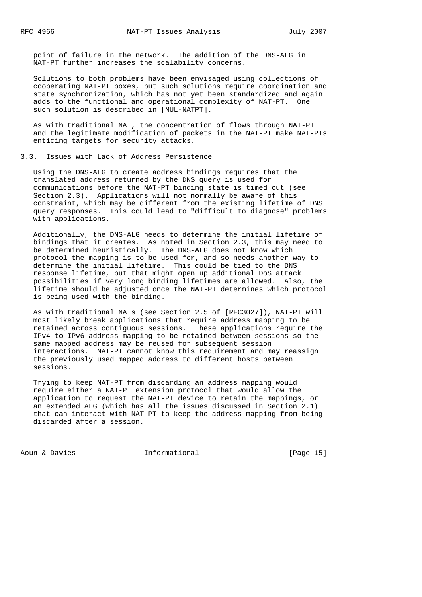point of failure in the network. The addition of the DNS-ALG in NAT-PT further increases the scalability concerns.

 Solutions to both problems have been envisaged using collections of cooperating NAT-PT boxes, but such solutions require coordination and state synchronization, which has not yet been standardized and again adds to the functional and operational complexity of NAT-PT. One such solution is described in [MUL-NATPT].

 As with traditional NAT, the concentration of flows through NAT-PT and the legitimate modification of packets in the NAT-PT make NAT-PTs enticing targets for security attacks.

### 3.3. Issues with Lack of Address Persistence

 Using the DNS-ALG to create address bindings requires that the translated address returned by the DNS query is used for communications before the NAT-PT binding state is timed out (see Section 2.3). Applications will not normally be aware of this constraint, which may be different from the existing lifetime of DNS query responses. This could lead to "difficult to diagnose" problems with applications.

 Additionally, the DNS-ALG needs to determine the initial lifetime of bindings that it creates. As noted in Section 2.3, this may need to be determined heuristically. The DNS-ALG does not know which protocol the mapping is to be used for, and so needs another way to determine the initial lifetime. This could be tied to the DNS response lifetime, but that might open up additional DoS attack possibilities if very long binding lifetimes are allowed. Also, the lifetime should be adjusted once the NAT-PT determines which protocol is being used with the binding.

 As with traditional NATs (see Section 2.5 of [RFC3027]), NAT-PT will most likely break applications that require address mapping to be retained across contiguous sessions. These applications require the IPv4 to IPv6 address mapping to be retained between sessions so the same mapped address may be reused for subsequent session interactions. NAT-PT cannot know this requirement and may reassign the previously used mapped address to different hosts between sessions.

 Trying to keep NAT-PT from discarding an address mapping would require either a NAT-PT extension protocol that would allow the application to request the NAT-PT device to retain the mappings, or an extended ALG (which has all the issues discussed in Section 2.1) that can interact with NAT-PT to keep the address mapping from being discarded after a session.

Aoun & Davies **Informational** [Page 15]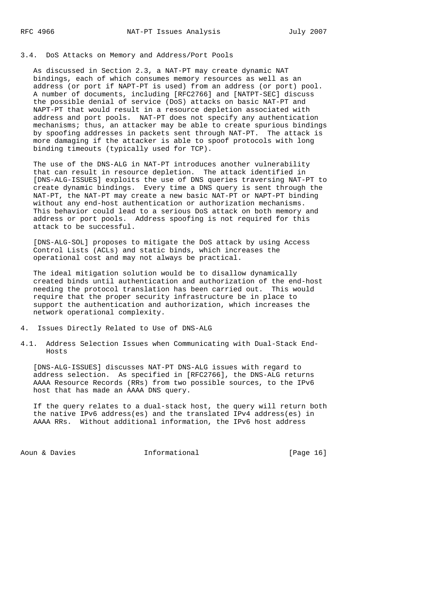### 3.4. DoS Attacks on Memory and Address/Port Pools

 As discussed in Section 2.3, a NAT-PT may create dynamic NAT bindings, each of which consumes memory resources as well as an address (or port if NAPT-PT is used) from an address (or port) pool. A number of documents, including [RFC2766] and [NATPT-SEC] discuss the possible denial of service (DoS) attacks on basic NAT-PT and NAPT-PT that would result in a resource depletion associated with address and port pools. NAT-PT does not specify any authentication mechanisms; thus, an attacker may be able to create spurious bindings by spoofing addresses in packets sent through NAT-PT. The attack is more damaging if the attacker is able to spoof protocols with long binding timeouts (typically used for TCP).

 The use of the DNS-ALG in NAT-PT introduces another vulnerability that can result in resource depletion. The attack identified in [DNS-ALG-ISSUES] exploits the use of DNS queries traversing NAT-PT to create dynamic bindings. Every time a DNS query is sent through the NAT-PT, the NAT-PT may create a new basic NAT-PT or NAPT-PT binding without any end-host authentication or authorization mechanisms. This behavior could lead to a serious DoS attack on both memory and address or port pools. Address spoofing is not required for this attack to be successful.

 [DNS-ALG-SOL] proposes to mitigate the DoS attack by using Access Control Lists (ACLs) and static binds, which increases the operational cost and may not always be practical.

 The ideal mitigation solution would be to disallow dynamically created binds until authentication and authorization of the end-host needing the protocol translation has been carried out. This would require that the proper security infrastructure be in place to support the authentication and authorization, which increases the network operational complexity.

- 4. Issues Directly Related to Use of DNS-ALG
- 4.1. Address Selection Issues when Communicating with Dual-Stack End- Hosts

 [DNS-ALG-ISSUES] discusses NAT-PT DNS-ALG issues with regard to address selection. As specified in [RFC2766], the DNS-ALG returns AAAA Resource Records (RRs) from two possible sources, to the IPv6 host that has made an AAAA DNS query.

 If the query relates to a dual-stack host, the query will return both the native IPv6 address(es) and the translated IPv4 address(es) in AAAA RRs. Without additional information, the IPv6 host address

Aoun & Davies **Informational** [Page 16]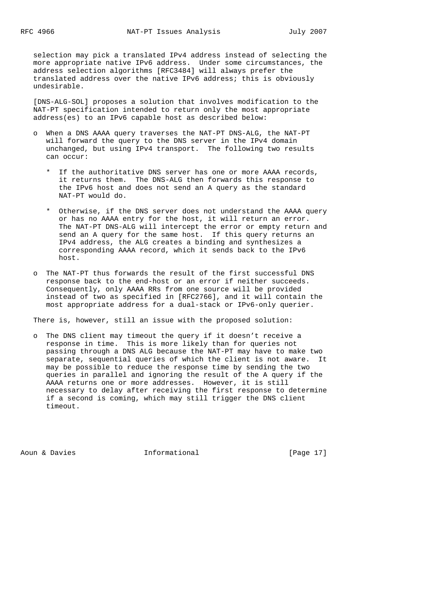selection may pick a translated IPv4 address instead of selecting the more appropriate native IPv6 address. Under some circumstances, the address selection algorithms [RFC3484] will always prefer the translated address over the native IPv6 address; this is obviously undesirable.

 [DNS-ALG-SOL] proposes a solution that involves modification to the NAT-PT specification intended to return only the most appropriate address(es) to an IPv6 capable host as described below:

- o When a DNS AAAA query traverses the NAT-PT DNS-ALG, the NAT-PT will forward the query to the DNS server in the IPv4 domain unchanged, but using IPv4 transport. The following two results can occur:
	- \* If the authoritative DNS server has one or more AAAA records, it returns them. The DNS-ALG then forwards this response to the IPv6 host and does not send an A query as the standard NAT-PT would do.
	- \* Otherwise, if the DNS server does not understand the AAAA query or has no AAAA entry for the host, it will return an error. The NAT-PT DNS-ALG will intercept the error or empty return and send an A query for the same host. If this query returns an IPv4 address, the ALG creates a binding and synthesizes a corresponding AAAA record, which it sends back to the IPv6 host.
- o The NAT-PT thus forwards the result of the first successful DNS response back to the end-host or an error if neither succeeds. Consequently, only AAAA RRs from one source will be provided instead of two as specified in [RFC2766], and it will contain the most appropriate address for a dual-stack or IPv6-only querier.

There is, however, still an issue with the proposed solution:

 o The DNS client may timeout the query if it doesn't receive a response in time. This is more likely than for queries not passing through a DNS ALG because the NAT-PT may have to make two separate, sequential queries of which the client is not aware. It may be possible to reduce the response time by sending the two queries in parallel and ignoring the result of the A query if the AAAA returns one or more addresses. However, it is still necessary to delay after receiving the first response to determine if a second is coming, which may still trigger the DNS client timeout.

Aoun & Davies **Informational** [Page 17]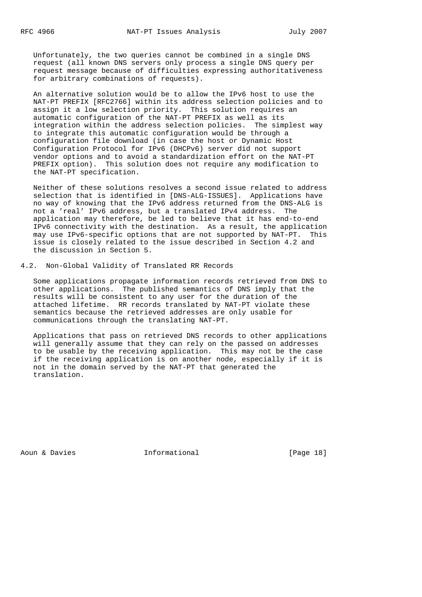Unfortunately, the two queries cannot be combined in a single DNS request (all known DNS servers only process a single DNS query per request message because of difficulties expressing authoritativeness for arbitrary combinations of requests).

 An alternative solution would be to allow the IPv6 host to use the NAT-PT PREFIX [RFC2766] within its address selection policies and to assign it a low selection priority. This solution requires an automatic configuration of the NAT-PT PREFIX as well as its integration within the address selection policies. The simplest way to integrate this automatic configuration would be through a configuration file download (in case the host or Dynamic Host Configuration Protocol for IPv6 (DHCPv6) server did not support vendor options and to avoid a standardization effort on the NAT-PT PREFIX option). This solution does not require any modification to the NAT-PT specification.

 Neither of these solutions resolves a second issue related to address selection that is identified in [DNS-ALG-ISSUES]. Applications have no way of knowing that the IPv6 address returned from the DNS-ALG is not a 'real' IPv6 address, but a translated IPv4 address. The application may therefore, be led to believe that it has end-to-end IPv6 connectivity with the destination. As a result, the application may use IPv6-specific options that are not supported by NAT-PT. This issue is closely related to the issue described in Section 4.2 and the discussion in Section 5.

## 4.2. Non-Global Validity of Translated RR Records

 Some applications propagate information records retrieved from DNS to other applications. The published semantics of DNS imply that the results will be consistent to any user for the duration of the attached lifetime. RR records translated by NAT-PT violate these semantics because the retrieved addresses are only usable for communications through the translating NAT-PT.

 Applications that pass on retrieved DNS records to other applications will generally assume that they can rely on the passed on addresses to be usable by the receiving application. This may not be the case if the receiving application is on another node, especially if it is not in the domain served by the NAT-PT that generated the translation.

Aoun & Davies **Informational** [Page 18]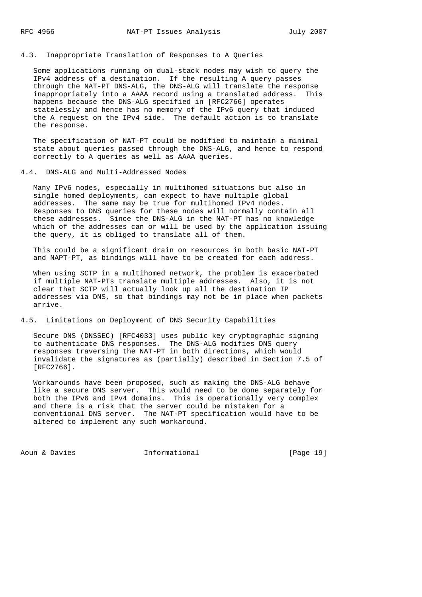## 4.3. Inappropriate Translation of Responses to A Queries

 Some applications running on dual-stack nodes may wish to query the IPv4 address of a destination. If the resulting A query passes through the NAT-PT DNS-ALG, the DNS-ALG will translate the response inappropriately into a AAAA record using a translated address. This happens because the DNS-ALG specified in [RFC2766] operates statelessly and hence has no memory of the IPv6 query that induced the A request on the IPv4 side. The default action is to translate the response.

 The specification of NAT-PT could be modified to maintain a minimal state about queries passed through the DNS-ALG, and hence to respond correctly to A queries as well as AAAA queries.

### 4.4. DNS-ALG and Multi-Addressed Nodes

 Many IPv6 nodes, especially in multihomed situations but also in single homed deployments, can expect to have multiple global addresses. The same may be true for multihomed IPv4 nodes. Responses to DNS queries for these nodes will normally contain all these addresses. Since the DNS-ALG in the NAT-PT has no knowledge which of the addresses can or will be used by the application issuing the query, it is obliged to translate all of them.

 This could be a significant drain on resources in both basic NAT-PT and NAPT-PT, as bindings will have to be created for each address.

 When using SCTP in a multihomed network, the problem is exacerbated if multiple NAT-PTs translate multiple addresses. Also, it is not clear that SCTP will actually look up all the destination IP addresses via DNS, so that bindings may not be in place when packets arrive.

### 4.5. Limitations on Deployment of DNS Security Capabilities

 Secure DNS (DNSSEC) [RFC4033] uses public key cryptographic signing to authenticate DNS responses. The DNS-ALG modifies DNS query responses traversing the NAT-PT in both directions, which would invalidate the signatures as (partially) described in Section 7.5 of [RFC2766].

 Workarounds have been proposed, such as making the DNS-ALG behave like a secure DNS server. This would need to be done separately for both the IPv6 and IPv4 domains. This is operationally very complex and there is a risk that the server could be mistaken for a conventional DNS server. The NAT-PT specification would have to be altered to implement any such workaround.

Aoun & Davies **Informational** [Page 19]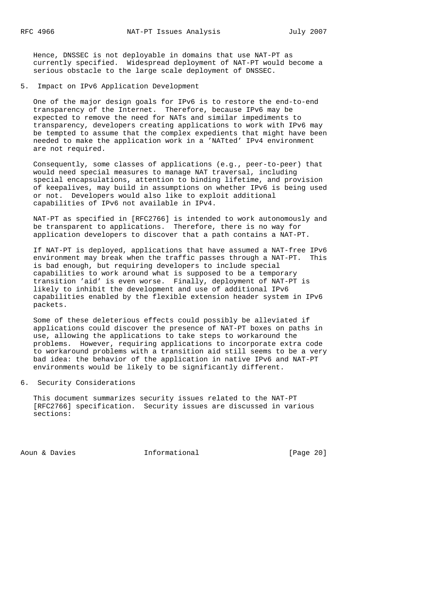Hence, DNSSEC is not deployable in domains that use NAT-PT as currently specified. Widespread deployment of NAT-PT would become a serious obstacle to the large scale deployment of DNSSEC.

5. Impact on IPv6 Application Development

 One of the major design goals for IPv6 is to restore the end-to-end transparency of the Internet. Therefore, because IPv6 may be expected to remove the need for NATs and similar impediments to transparency, developers creating applications to work with IPv6 may be tempted to assume that the complex expedients that might have been needed to make the application work in a 'NATted' IPv4 environment are not required.

 Consequently, some classes of applications (e.g., peer-to-peer) that would need special measures to manage NAT traversal, including special encapsulations, attention to binding lifetime, and provision of keepalives, may build in assumptions on whether IPv6 is being used or not. Developers would also like to exploit additional capabilities of IPv6 not available in IPv4.

 NAT-PT as specified in [RFC2766] is intended to work autonomously and be transparent to applications. Therefore, there is no way for application developers to discover that a path contains a NAT-PT.

 If NAT-PT is deployed, applications that have assumed a NAT-free IPv6 environment may break when the traffic passes through a NAT-PT. This is bad enough, but requiring developers to include special capabilities to work around what is supposed to be a temporary transition 'aid' is even worse. Finally, deployment of NAT-PT is likely to inhibit the development and use of additional IPv6 capabilities enabled by the flexible extension header system in IPv6 packets.

 Some of these deleterious effects could possibly be alleviated if applications could discover the presence of NAT-PT boxes on paths in use, allowing the applications to take steps to workaround the problems. However, requiring applications to incorporate extra code to workaround problems with a transition aid still seems to be a very bad idea: the behavior of the application in native IPv6 and NAT-PT environments would be likely to be significantly different.

#### 6. Security Considerations

 This document summarizes security issues related to the NAT-PT [RFC2766] specification. Security issues are discussed in various sections:

Aoun & Davies **Informational** [Page 20]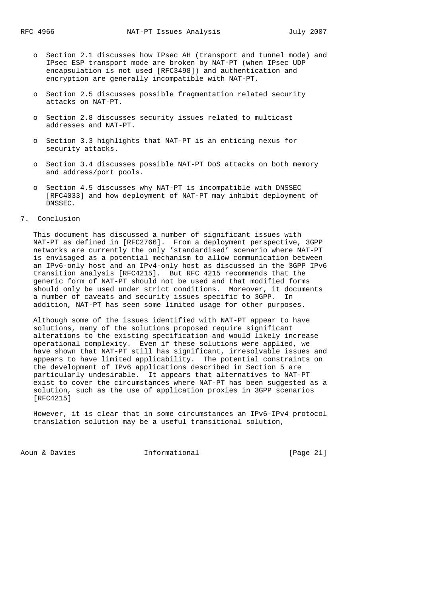- o Section 2.1 discusses how IPsec AH (transport and tunnel mode) and IPsec ESP transport mode are broken by NAT-PT (when IPsec UDP encapsulation is not used [RFC3498]) and authentication and encryption are generally incompatible with NAT-PT.
- o Section 2.5 discusses possible fragmentation related security attacks on NAT-PT.
- o Section 2.8 discusses security issues related to multicast addresses and NAT-PT.
- o Section 3.3 highlights that NAT-PT is an enticing nexus for security attacks.
- o Section 3.4 discusses possible NAT-PT DoS attacks on both memory and address/port pools.
- o Section 4.5 discusses why NAT-PT is incompatible with DNSSEC [RFC4033] and how deployment of NAT-PT may inhibit deployment of DNSSEC.
- 7. Conclusion

 This document has discussed a number of significant issues with NAT-PT as defined in [RFC2766]. From a deployment perspective, 3GPP networks are currently the only 'standardised' scenario where NAT-PT is envisaged as a potential mechanism to allow communication between an IPv6-only host and an IPv4-only host as discussed in the 3GPP IPv6 transition analysis [RFC4215]. But RFC 4215 recommends that the generic form of NAT-PT should not be used and that modified forms should only be used under strict conditions. Moreover, it documents a number of caveats and security issues specific to 3GPP. In addition, NAT-PT has seen some limited usage for other purposes.

 Although some of the issues identified with NAT-PT appear to have solutions, many of the solutions proposed require significant alterations to the existing specification and would likely increase operational complexity. Even if these solutions were applied, we have shown that NAT-PT still has significant, irresolvable issues and appears to have limited applicability. The potential constraints on the development of IPv6 applications described in Section 5 are particularly undesirable. It appears that alternatives to NAT-PT exist to cover the circumstances where NAT-PT has been suggested as a solution, such as the use of application proxies in 3GPP scenarios [RFC4215]

 However, it is clear that in some circumstances an IPv6-IPv4 protocol translation solution may be a useful transitional solution,

Aoun & Davies **Informational** [Page 21]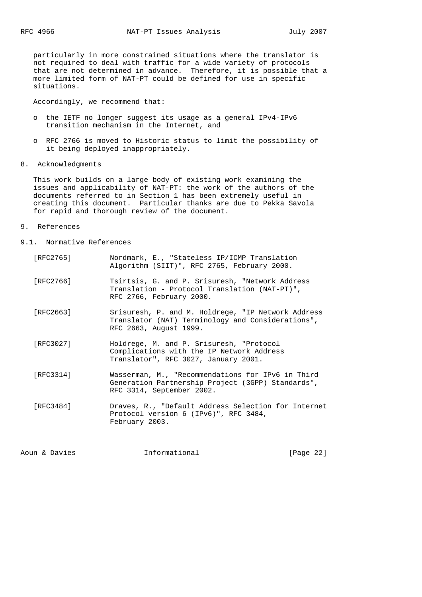particularly in more constrained situations where the translator is not required to deal with traffic for a wide variety of protocols that are not determined in advance. Therefore, it is possible that a more limited form of NAT-PT could be defined for use in specific situations.

Accordingly, we recommend that:

- o the IETF no longer suggest its usage as a general IPv4-IPv6 transition mechanism in the Internet, and
- o RFC 2766 is moved to Historic status to limit the possibility of it being deployed inappropriately.
- 8. Acknowledgments

 This work builds on a large body of existing work examining the issues and applicability of NAT-PT: the work of the authors of the documents referred to in Section 1 has been extremely useful in creating this document. Particular thanks are due to Pekka Savola for rapid and thorough review of the document.

- 9. References
- 9.1. Normative References
	- [RFC2765] Nordmark, E., "Stateless IP/ICMP Translation Algorithm (SIIT)", RFC 2765, February 2000.
	- [RFC2766] Tsirtsis, G. and P. Srisuresh, "Network Address Translation - Protocol Translation (NAT-PT)", RFC 2766, February 2000.
	- [RFC2663] Srisuresh, P. and M. Holdrege, "IP Network Address Translator (NAT) Terminology and Considerations", RFC 2663, August 1999.
	- [RFC3027] Holdrege, M. and P. Srisuresh, "Protocol Complications with the IP Network Address Translator", RFC 3027, January 2001.
	- [RFC3314] Wasserman, M., "Recommendations for IPv6 in Third Generation Partnership Project (3GPP) Standards", RFC 3314, September 2002.
	- [RFC3484] Draves, R., "Default Address Selection for Internet Protocol version 6 (IPv6)", RFC 3484, February 2003.

Aoun & Davies **Informational** [Page 22]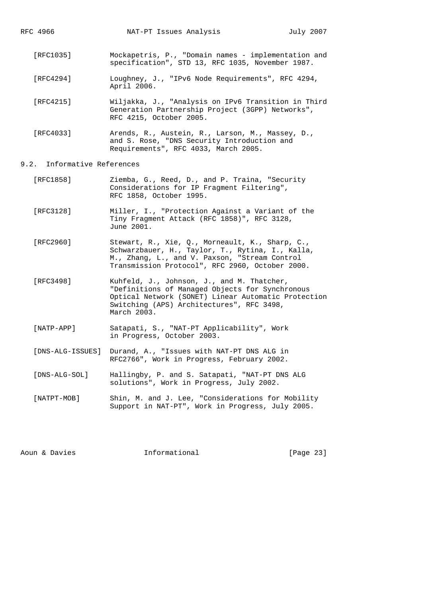RFC 4966 **NAT-PT** Issues Analysis July 2007 [RFC1035] Mockapetris, P., "Domain names - implementation and specification", STD 13, RFC 1035, November 1987. [RFC4294] Loughney, J., "IPv6 Node Requirements", RFC 4294, April 2006. [RFC4215] Wiljakka, J., "Analysis on IPv6 Transition in Third Generation Partnership Project (3GPP) Networks", RFC 4215, October 2005. [RFC4033] Arends, R., Austein, R., Larson, M., Massey, D.,

#### 9.2. Informative References

 [RFC1858] Ziemba, G., Reed, D., and P. Traina, "Security Considerations for IP Fragment Filtering", RFC 1858, October 1995.

and S. Rose, "DNS Security Introduction and

Requirements", RFC 4033, March 2005.

 [RFC3128] Miller, I., "Protection Against a Variant of the Tiny Fragment Attack (RFC 1858)", RFC 3128, June 2001.

- [RFC2960] Stewart, R., Xie, Q., Morneault, K., Sharp, C., Schwarzbauer, H., Taylor, T., Rytina, I., Kalla, M., Zhang, L., and V. Paxson, "Stream Control Transmission Protocol", RFC 2960, October 2000.
- [RFC3498] Kuhfeld, J., Johnson, J., and M. Thatcher, "Definitions of Managed Objects for Synchronous Optical Network (SONET) Linear Automatic Protection Switching (APS) Architectures", RFC 3498, March 2003.
- [NATP-APP] Satapati, S., "NAT-PT Applicability", Work in Progress, October 2003.
- [DNS-ALG-ISSUES] Durand, A., "Issues with NAT-PT DNS ALG in RFC2766", Work in Progress, February 2002.
- [DNS-ALG-SOL] Hallingby, P. and S. Satapati, "NAT-PT DNS ALG solutions", Work in Progress, July 2002.
- [NATPT-MOB] Shin, M. and J. Lee, "Considerations for Mobility Support in NAT-PT", Work in Progress, July 2005.

Aoun & Davies **Informational** [Page 23]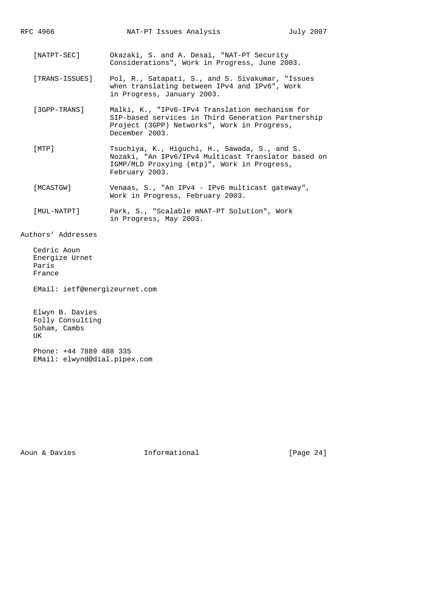RFC 4966 **NAT-PT** Issues Analysis July 2007 [NATPT-SEC] Okazaki, S. and A. Desai, "NAT-PT Security Considerations", Work in Progress, June 2003. [TRANS-ISSUES] Pol, R., Satapati, S., and S. Sivakumar, "Issues when translating between IPv4 and IPv6", Work in Progress, January 2003. [3GPP-TRANS] Malki, K., "IPv6-IPv4 Translation mechanism for SIP-based services in Third Generation Partnership Project (3GPP) Networks", Work in Progress, December 2003. [MTP] Tsuchiya, K., Higuchi, H., Sawada, S., and S. Nozaki, "An IPv6/IPv4 Multicast Translator based on IGMP/MLD Proxying (mtp)", Work in Progress, February 2003. [MCASTGW] Venaas, S., "An IPv4 - IPv6 multicast gateway", Work in Progress, February 2003.

 [MUL-NATPT] Park, S., "Scalable mNAT-PT Solution", Work in Progress, May 2003.

Authors' Addresses

 Cedric Aoun Energize Urnet Paris France

EMail: ietf@energizeurnet.com

 Elwyn B. Davies Folly Consulting Soham, Cambs UK

 Phone: +44 7889 488 335 EMail: elwynd@dial.pipex.com

Aoun & Davies **Informational** [Page 24]